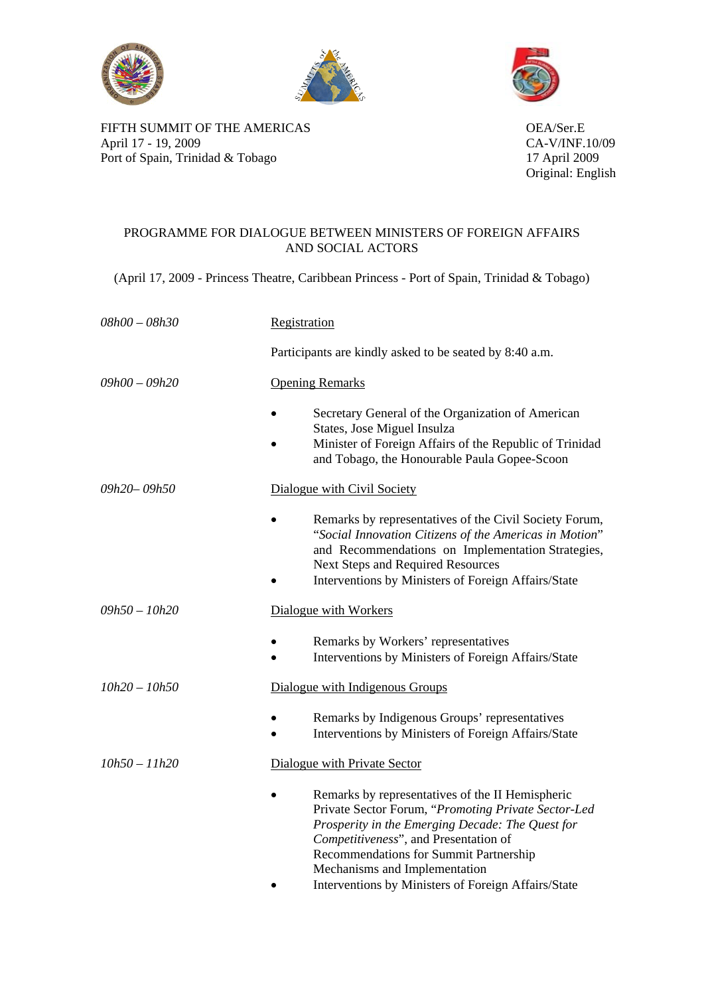





FIFTH SUMMIT OF THE AMERICAS OEA/Ser.E April 17 - 19, 2009<br>
Port of Spain, Trinidad & Tobago<br>
17 April 2009 Port of Spain, Trinidad & Tobago

Original: English

## PROGRAMME FOR DIALOGUE BETWEEN MINISTERS OF FOREIGN AFFAIRS AND SOCIAL ACTORS

(April 17, 2009 - Princess Theatre, Caribbean Princess - Port of Spain, Trinidad & Tobago)

| $08h00 - 08h30$ | Registration                                                                                                                                                                                                                                                                                                                           |
|-----------------|----------------------------------------------------------------------------------------------------------------------------------------------------------------------------------------------------------------------------------------------------------------------------------------------------------------------------------------|
|                 | Participants are kindly asked to be seated by 8:40 a.m.                                                                                                                                                                                                                                                                                |
| $09h00 - 09h20$ | <b>Opening Remarks</b>                                                                                                                                                                                                                                                                                                                 |
|                 | Secretary General of the Organization of American<br>States, Jose Miguel Insulza<br>Minister of Foreign Affairs of the Republic of Trinidad<br>and Tobago, the Honourable Paula Gopee-Scoon                                                                                                                                            |
| 09h20-09h50     | Dialogue with Civil Society                                                                                                                                                                                                                                                                                                            |
|                 | Remarks by representatives of the Civil Society Forum,<br>"Social Innovation Citizens of the Americas in Motion"<br>and Recommendations on Implementation Strategies,<br><b>Next Steps and Required Resources</b><br>Interventions by Ministers of Foreign Affairs/State                                                               |
| $09h50 - 10h20$ | Dialogue with Workers                                                                                                                                                                                                                                                                                                                  |
|                 | Remarks by Workers' representatives<br>Interventions by Ministers of Foreign Affairs/State                                                                                                                                                                                                                                             |
| $10h20 - 10h50$ | Dialogue with Indigenous Groups                                                                                                                                                                                                                                                                                                        |
|                 | Remarks by Indigenous Groups' representatives<br>Interventions by Ministers of Foreign Affairs/State                                                                                                                                                                                                                                   |
| $10h50 - 11h20$ | Dialogue with Private Sector                                                                                                                                                                                                                                                                                                           |
|                 | Remarks by representatives of the II Hemispheric<br>Private Sector Forum, "Promoting Private Sector-Led<br>Prosperity in the Emerging Decade: The Quest for<br>Competitiveness", and Presentation of<br>Recommendations for Summit Partnership<br>Mechanisms and Implementation<br>Interventions by Ministers of Foreign Affairs/State |